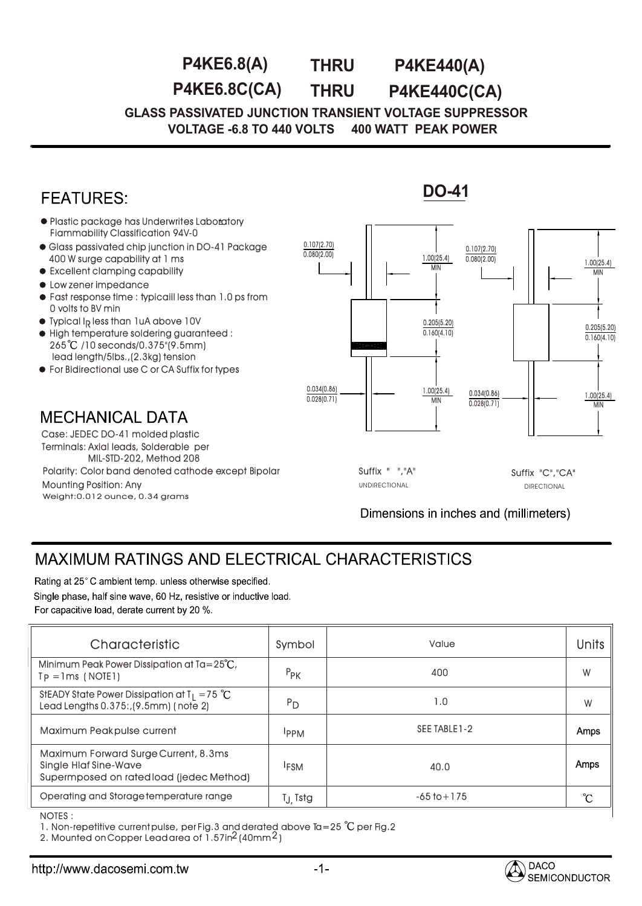**P4KE6.8(A) THRU P4KE440(A)**

**THRU P4KE6.8C(CA) P4KE440C(CA)**

**GLASS PASSIVATED JUNCTION TRANSIENT VOLTAGE SUPPRESSOR VOLTAGE -6.8 TO 440 VOLTS 400 WATT PEAK POWER** 



## MAXIMUM RATINGS AND ELECTRICAL CHARACTERISTICS

Rating at 25°C ambient temp, unless otherwise specified.

Single phase, half sine wave, 60 Hz, resistive or inductive load.

| For capacitive load, derate current by 20 %. |  |  |
|----------------------------------------------|--|--|
|----------------------------------------------|--|--|

| Characteristic                                                                                                   | Symbol                | Value           | <b>Units</b> |
|------------------------------------------------------------------------------------------------------------------|-----------------------|-----------------|--------------|
| Minimum Peak Power Dissipation at $Ta = 25^{\circ}C$ ,<br>$Tp = Ims$ (NOTE1)                                     | $P_{PK}$              | 400             | W            |
| StEADY State Power Dissipation at $T_1 = 75$ °C<br>Lead Lengths 0.375:, (9.5mm) (note 2)                         | $P_{D}$               | 1.0             | W            |
| Maximum Peakpulse current                                                                                        | <b>IPPM</b>           | SEE TABLE 1-2   | Amps         |
| Maximum Forward Surge Current, 8.3ms<br><b>Single Hlaf Sine-Wave</b><br>Supermposed on rated load (jedec Method) | <sup>I</sup> FSM      | 40.0            | Amps         |
| Operating and Storage temperature range                                                                          | T <sub>.J.</sub> Tstg | $-65$ to $+175$ | °C           |
| NOTES .                                                                                                          |                       |                 |              |

NOTES : :

1. Non-repetitive current pulse, per Fig.3 and derated above Ta=25  $^{\circ}$ C per Fig.2

2. Mounted on Copper Lead area of  $1.5$ 7In $^2$ (40mm $^2$ )

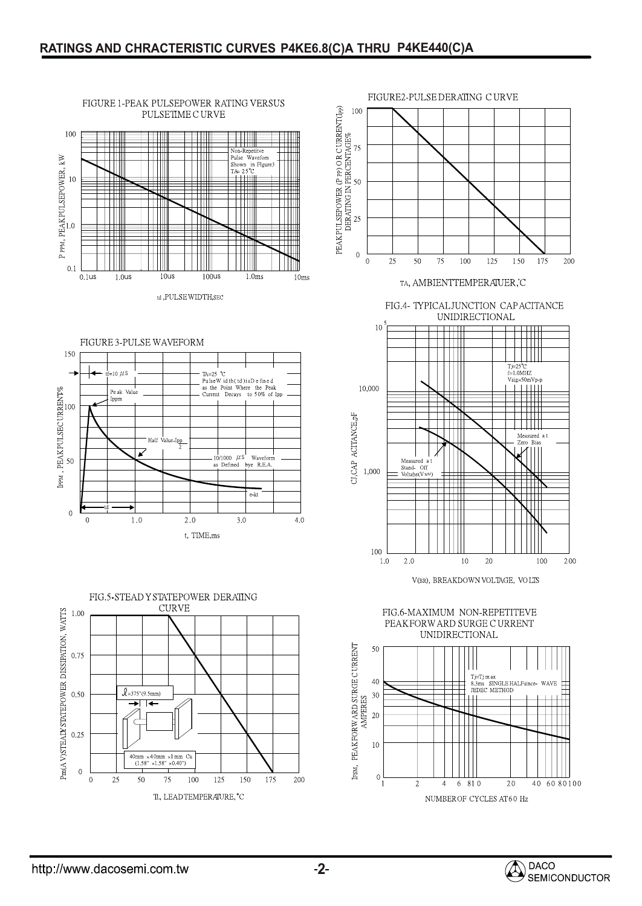e-kt

 $4.0$ 

 $3.0$ 



FIGURE 1-PEAK PULSEPOWER RATING VERSUS

PULSETIME CURVE



 $2.0$ 

t, TIME, ms









V(BR), BREAKDOWN VOLTAGE, VOLTS



**DACO** SEMICONDUCTOR

 $\overline{0}$ 

 $\overline{0}$ 

 $1.0$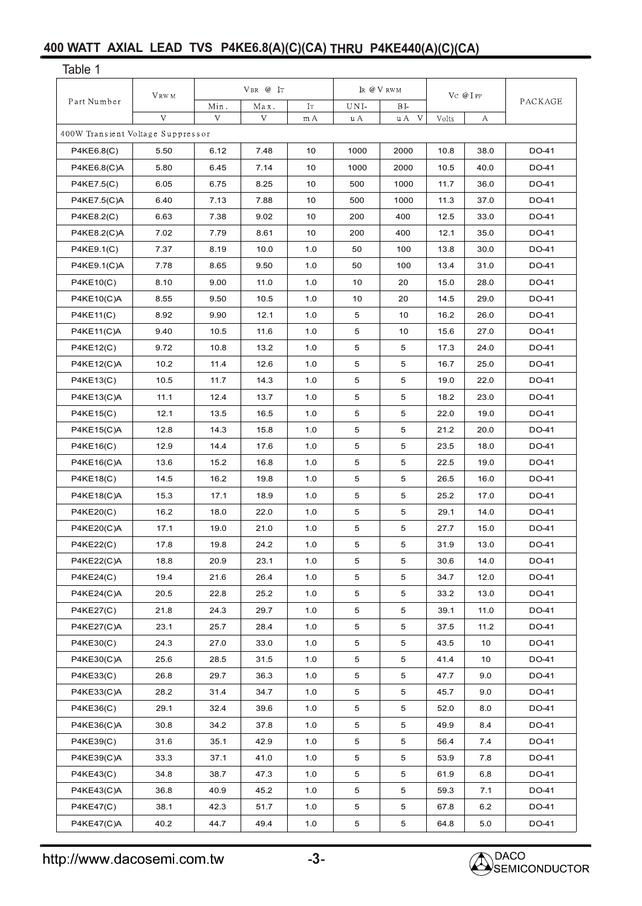## **400 WATT AXIAL LEAD TVS P4KE6.8(A)(C)(CA) THRU P4KE440(A)(C)(CA)**

| Table 1                           |       |               |      |            |                |                           |       |                 |       |
|-----------------------------------|-------|---------------|------|------------|----------------|---------------------------|-------|-----------------|-------|
|                                   | VRW M | $V$ BR $@$ IT |      | IR @ V RWM |                | $\rm V\rm C$ @ I $\rm PP$ |       |                 |       |
| Part Number                       | Min.  | Max.          | IT   | UNI-       | BI-            |                           |       | PACKAGE         |       |
|                                   | V     | V             | V    | m A        | u A            | V<br>u A                  | Volts | А               |       |
| 400W Transient Voltage Suppressor |       |               |      |            |                |                           |       |                 |       |
| P4KE6.8(C)                        | 5.50  | 6.12          | 7.48 | 10         | 1000           | 2000                      | 10.8  | 38.0            | DO-41 |
| P4KE6.8(C)A                       | 5.80  | 6.45          | 7.14 | 10         | 1000           | 2000                      | 10.5  | 40.0            | DO-41 |
| P4KE7.5(C)                        | 6.05  | 6.75          | 8.25 | 10         | 500            | 1000                      | 11.7  | 36.0            | DO-41 |
| P4KE7.5(C)A                       | 6.40  | 7.13          | 7.88 | 10         | 500            | 1000                      | 11.3  | 37.0            | DO-41 |
| P4KE8.2(C)                        | 6.63  | 7.38          | 9.02 | 10         | 200            | 400                       | 12.5  | 33.0            | DO-41 |
| P4KE8.2(C)A                       | 7.02  | 7.79          | 8.61 | 10         | 200            | 400                       | 12.1  | 35.0            | DO-41 |
| P4KE9.1(C)                        | 7.37  | 8.19          | 10.0 | 1.0        | 50             | 100                       | 13.8  | 30.0            | DO-41 |
| P4KE9.1(C)A                       | 7.78  | 8.65          | 9.50 | 1.0        | 50             | 100                       | 13.4  | 31.0            | DO-41 |
| <b>P4KE10(C)</b>                  | 8.10  | 9.00          | 11.0 | 1.0        | 10             | 20                        | 15.0  | 28.0            | DO-41 |
| P4KE10(C)A                        | 8.55  | 9.50          | 10.5 | 1.0        | 10             | 20                        | 14.5  | 29.0            | DO-41 |
| <b>P4KE11(C)</b>                  | 8.92  | 9.90          | 12.1 | 1.0        | 5              | 10                        | 16.2  | 26.0            | DO-41 |
| P4KE11(C)A                        | 9.40  | 10.5          | 11.6 | 1.0        | 5              | 10                        | 15.6  | 27.0            | DO-41 |
| P4KE12(C)                         | 9.72  | 10.8          | 13.2 | 1.0        | 5              | 5                         | 17.3  | 24.0            | DO-41 |
| <b>P4KE12(C)A</b>                 | 10.2  | 11.4          | 12.6 | 1.0        | 5              | 5                         | 16.7  | 25.0            | DO-41 |
| P4KE13(C)                         | 10.5  | 11.7          | 14.3 | 1.0        | 5              | 5                         | 19.0  | 22.0            | DO-41 |
| P4KE13(C)A                        | 11.1  | 12.4          | 13.7 | 1.0        | 5              | 5                         | 18.2  | 23.0            | DO-41 |
| <b>P4KE15(C)</b>                  | 12.1  | 13.5          | 16.5 | 1.0        | 5              | 5                         | 22.0  | 19.0            | DO-41 |
| P4KE15(C)A                        | 12.8  | 14.3          | 15.8 | 1.0        | 5              | 5                         | 21.2  | 20.0            | DO-41 |
| P4KE16(C)                         | 12.9  | 14.4          | 17.6 | 1.0        | 5              | 5                         | 23.5  | 18.0            | DO-41 |
| P4KE16(C)A                        | 13.6  | 15.2          | 16.8 | 1.0        | 5              | 5                         | 22.5  | 19.0            | DO-41 |
| P4KE18(C)                         | 14.5  | 16.2          | 19.8 | 1.0        | 5              | 5                         | 26.5  | 16.0            | DO-41 |
| P4KE18(C)A                        | 15.3  | 17.1          | 18.9 | 1.0        | 5              | 5                         | 25.2  | 17.0            | DO-41 |
| <b>P4KE20(C)</b>                  | 16.2  | 18.0          | 22.0 | 1.0        | 5              | 5                         | 29.1  | 14.0            | DO-41 |
| P4KE20(C)A                        | 17.1  | 19.0          | 21.0 | 1.0        | 5              | 5                         | 27.7  | 15.0            | DO-41 |
| P4KE22(C)                         | 17.8  | 19.8          | 24.2 | $1.0\,$    | 5              | 5                         | 31.9  | 13.0            | DO-41 |
| <b>P4KE22(C)A</b>                 | 18.8  | 20.9          | 23.1 | 1.0        | 5              | $\overline{5}$            | 30.6  | 14.0            | DO-41 |
| <b>P4KE24(C)</b>                  | 19.4  | 21.6          | 26.4 | 1.0        | $\,$ 5 $\,$    | 5                         | 34.7  | 12.0            | DO-41 |
| P4KE24(C)A                        | 20.5  | 22.8          | 25.2 | 1.0        | 5              | $\overline{5}$            | 33.2  | 13.0            | DO-41 |
| <b>P4KE27(C)</b>                  | 21.8  | 24.3          | 29.7 | 1.0        | 5              | 5                         | 39.1  | 11.0            | DO-41 |
| <b>P4KE27(C)A</b>                 | 23.1  | 25.7          | 28.4 | 1.0        | 5              | 5                         | 37.5  | 11.2            | DO-41 |
| P4KE30(C)                         | 24.3  | 27.0          | 33.0 | 1.0        | 5              | 5                         | 43.5  | 10 <sup>1</sup> | DO-41 |
| P4KE30(C)A                        | 25.6  | 28.5          | 31.5 | 1.0        | 5              | 5                         | 41.4  | 10              | DO-41 |
| P4KE33(C)                         | 26.8  | 29.7          | 36.3 | 1.0        | 5              | 5                         | 47.7  | 9.0             | DO-41 |
| P4KE33(C)A                        | 28.2  | 31.4          | 34.7 | 1.0        | 5              | $5\phantom{.0}$           | 45.7  | 9.0             | DO-41 |
| P4KE36(C)                         | 29.1  | 32.4          | 39.6 | 1.0        | 5              | $5\phantom{.0}$           | 52.0  | 8.0             | DO-41 |
| P4KE36(C)A                        | 30.8  | 34.2          | 37.8 | 1.0        | 5              | 5                         | 49.9  | 8.4             | DO-41 |
| P4KE39(C)                         | 31.6  | 35.1          | 42.9 | 1.0        | 5              | 5                         | 56.4  | 7.4             | DO-41 |
| P4KE39(C)A                        | 33.3  | 37.1          | 41.0 | 1.0        | 5              | 5                         | 53.9  | 7.8             | DO-41 |
| <b>P4KE43(C)</b>                  | 34.8  | 38.7          | 47.3 | 1.0        | $\,$ 5 $\,$    | 5                         | 61.9  | 6.8             | DO-41 |
| P4KE43(C)A                        | 36.8  | 40.9          | 45.2 | 1.0        | 5              | 5                         | 59.3  | 7.1             | DO-41 |
| <b>P4KE47(C)</b>                  | 38.1  | 42.3          | 51.7 | 1.0        | 5              | $5\phantom{.0}$           | 67.8  | 6.2             | DO-41 |
| P4KE47(C)A                        | 40.2  | 44.7          | 49.4 | 1.0        | $\overline{5}$ | 5                         | 64.8  | 5.0             | DO-41 |